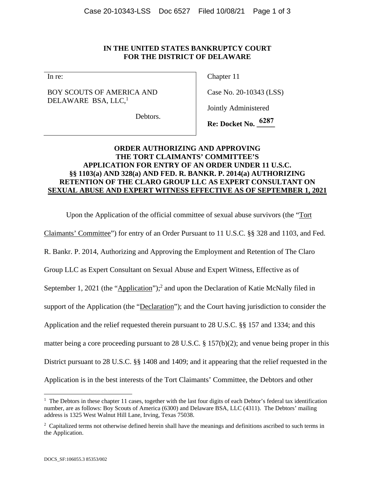## **IN THE UNITED STATES BANKRUPTCY COURT FOR THE DISTRICT OF DELAWARE**

In re:

## BOY SCOUTS OF AMERICA AND DELAWARE BSA, LLC,<sup>1</sup>

Chapter 11

Case No. 20-10343 (LSS)

Jointly Administered

Debtors.

**Re: Docket No. \_\_\_\_\_ 6287**

## **ORDER AUTHORIZING AND APPROVING THE TORT CLAIMANTS' COMMITTEE'S APPLICATION FOR ENTRY OF AN ORDER UNDER 11 U.S.C. §§ 1103(a) AND 328(a) AND FED. R. BANKR. P. 2014(a) AUTHORIZING RETENTION OF THE CLARO GROUP LLC AS EXPERT CONSULTANT ON SEXUAL ABUSE AND EXPERT WITNESS EFFECTIVE AS OF SEPTEMBER 1, 2021**

Upon the Application of the official committee of sexual abuse survivors (the "Tort

Claimants' Committee") for entry of an Order Pursuant to 11 U.S.C. §§ 328 and 1103, and Fed.

R. Bankr. P. 2014, Authorizing and Approving the Employment and Retention of The Claro

Group LLC as Expert Consultant on Sexual Abuse and Expert Witness, Effective as of

September 1, 2021 (the "Application");<sup>2</sup> and upon the Declaration of Katie McNally filed in

support of the Application (the "Declaration"); and the Court having jurisdiction to consider the

Application and the relief requested therein pursuant to 28 U.S.C. §§ 157 and 1334; and this

matter being a core proceeding pursuant to 28 U.S.C. § 157(b)(2); and venue being proper in this

District pursuant to 28 U.S.C. §§ 1408 and 1409; and it appearing that the relief requested in the

Application is in the best interests of the Tort Claimants' Committee, the Debtors and other

<sup>&</sup>lt;sup>1</sup> The Debtors in these chapter 11 cases, together with the last four digits of each Debtor's federal tax identification number, are as follows: Boy Scouts of America (6300) and Delaware BSA, LLC (4311). The Debtors' mailing address is 1325 West Walnut Hill Lane, Irving, Texas 75038.

<sup>&</sup>lt;sup>2</sup> Capitalized terms not otherwise defined herein shall have the meanings and definitions ascribed to such terms in the Application.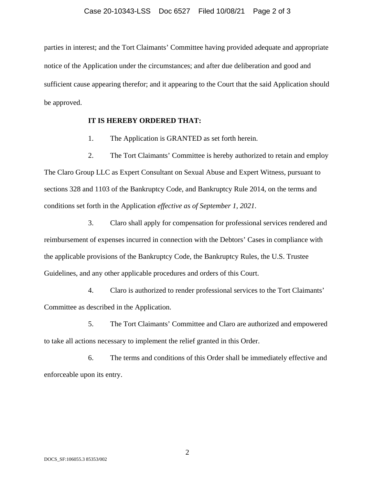parties in interest; and the Tort Claimants' Committee having provided adequate and appropriate notice of the Application under the circumstances; and after due deliberation and good and sufficient cause appearing therefor; and it appearing to the Court that the said Application should be approved.

## **IT IS HEREBY ORDERED THAT:**

1. The Application is GRANTED as set forth herein.

2. The Tort Claimants' Committee is hereby authorized to retain and employ The Claro Group LLC as Expert Consultant on Sexual Abuse and Expert Witness, pursuant to sections 328 and 1103 of the Bankruptcy Code, and Bankruptcy Rule 2014, on the terms and conditions set forth in the Application *effective as of September 1, 2021*.

3. Claro shall apply for compensation for professional services rendered and reimbursement of expenses incurred in connection with the Debtors' Cases in compliance with the applicable provisions of the Bankruptcy Code, the Bankruptcy Rules, the U.S. Trustee Guidelines, and any other applicable procedures and orders of this Court.

4. Claro is authorized to render professional services to the Tort Claimants' Committee as described in the Application.

5. The Tort Claimants' Committee and Claro are authorized and empowered to take all actions necessary to implement the relief granted in this Order.

6. The terms and conditions of this Order shall be immediately effective and enforceable upon its entry.

2